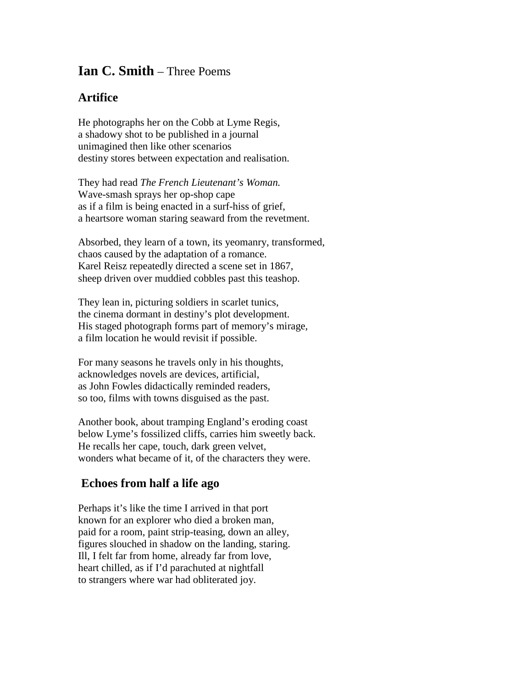## **Ian C. Smith** – Three Poems

## **Artifice**

He photographs her on the Cobb at Lyme Regis, a shadowy shot to be published in a journal unimagined then like other scenarios destiny stores between expectation and realisation.

They had read *The French Lieutenant's Woman.* Wave-smash sprays her op-shop cape as if a film is being enacted in a surf-hiss of grief, a heartsore woman staring seaward from the revetment.

Absorbed, they learn of a town, its yeomanry, transformed, chaos caused by the adaptation of a romance. Karel Reisz repeatedly directed a scene set in 1867, sheep driven over muddied cobbles past this teashop.

They lean in, picturing soldiers in scarlet tunics, the cinema dormant in destiny's plot development. His staged photograph forms part of memory's mirage, a film location he would revisit if possible.

For many seasons he travels only in his thoughts, acknowledges novels are devices, artificial, as John Fowles didactically reminded readers, so too, films with towns disguised as the past.

Another book, about tramping England's eroding coast below Lyme's fossilized cliffs, carries him sweetly back. He recalls her cape, touch, dark green velvet, wonders what became of it, of the characters they were.

## **Echoes from half a life ago**

Perhaps it's like the time I arrived in that port known for an explorer who died a broken man, paid for a room, paint strip-teasing, down an alley, figures slouched in shadow on the landing, staring. Ill, I felt far from home, already far from love, heart chilled, as if I'd parachuted at nightfall to strangers where war had obliterated joy.